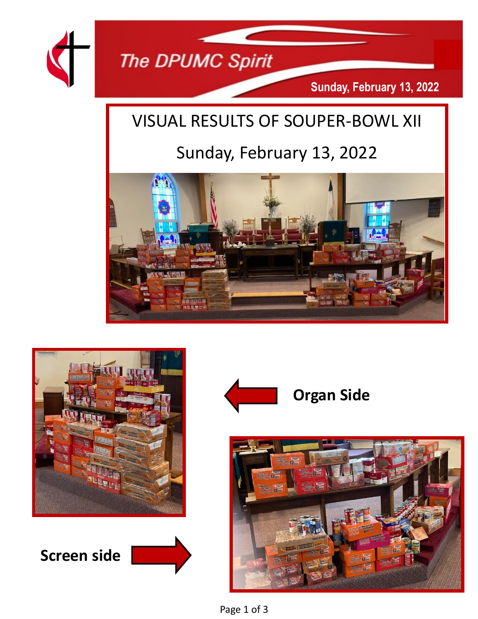

## VISUAL RESULTS OF SOUPER-BOWL XII

# Sunday, February 13, 2022





**Screen side**





Page 1 of 3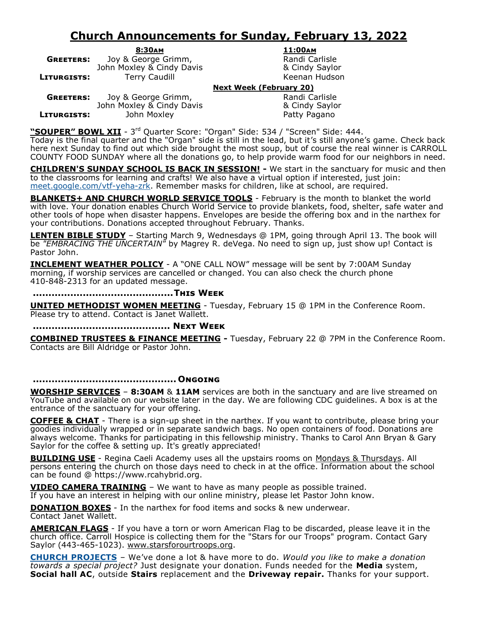### **Church Announcements for Sunday, February 13, 2022**

**8:30am 11:00am GREETERS:** Joy & George Grimm, The Carlisle Randi Carlisle John Moxley & Cindy Davis **Branch Accident Accident** & Cindy Saylor **LITURGISTS:** Terry Caudill **The Contract Contract Contract Contract Contract Contract Contract Contract Contract Contract Contract Contract Contract Contract Contract Contract Contract Contract Contract Contract Contract** 

### **Next Week (February 20)**

**GREETERS:** Joy & George Grimm, The Randi Carlisle John Moxley & Cindy Davis & Cindy Saylor **LITURGISTS:** John Moxley **Patty Pagano** 

"**SOUPER" BOWL XII** - 3<sup>rd</sup> Quarter Score: "Organ" Side: 534 / "Screen" Side: 444.

Today is the final quarter and the "Organ" side is still in the lead, but it's still anyone's game. Check back here next Sunday to find out which side brought the most soup, but of course the real winner is CARROLL COUNTY FOOD SUNDAY where all the donations go, to help provide warm food for our neighbors in need.

**CHILDREN'S SUNDAY SCHOOL IS BACK IN SESSION! -** We start in the sanctuary for music and then to the classrooms for learning and crafts! We also have a virtual option if interested, just join: [meet.google.com/vtf](https://www.dpumc.net/groups/childrens-ministries/sunday-school/meet.google.com/vtf-yeha-zrk)-yeha-zrk. Remember masks for children, like at school, are required.

**BLANKETS+ AND CHURCH WORLD SERVICE TOOLS** - February is the month to blanket the world with love. Your donation enables Church World Service to provide blankets, food, shelter, safe water and other tools of hope when disaster happens. Envelopes are beside the offering box and in the narthex for your contributions. Donations accepted throughout February. Thanks.

**LENTEN BIBLE STUDY** – Starting March 9, Wednesdays @ 1PM, going through April 13. The book will be *"EMBRACING THE UNCERTAIN"* by Magrey R. deVega. No need to sign up, just show up! Contact is Pastor John.

**INCLEMENT WEATHER POLICY** - A "ONE CALL NOW" message will be sent by 7:00AM Sunday morning, if worship services are cancelled or changed. You can also check the church phone 410-848-2313 for an updated message.

**.............................................This Week**

**UNITED METHODIST WOMEN MEETING** - Tuesday, February 15 @ 1PM in the Conference Room. Please try to attend. Contact is Janet Wallett.

**............................................ Next Week**

**COMBINED TRUSTEES & FINANCE MEETING -** Tuesday, February 22 @ 7PM in the Conference Room. Contacts are Bill Aldridge or Pastor John.

#### **.............................................. Ongoing**

**WORSHIP SERVICES** – **8:30AM** & **11AM** services are both in the sanctuary and are live streamed on YouTube and available on our website later in the day. We are following CDC guidelines. A box is at the entrance of the sanctuary for your offering.

**COFFEE & CHAT** - There is a sign-up sheet in the narthex. If you want to contribute, please bring your goodies individually wrapped or in separate sandwich bags. No open containers of food. Donations are always welcome. Thanks for participating in this fellowship ministry. Thanks to Carol Ann Bryan & Gary Saylor for the coffee & setting up. It's greatly appreciated!

**BUILDING USE** - Regina Caeli Academy uses all the upstairs rooms on Mondays & Thursdays. All persons entering the church on those days need to check in at the office. Information about the school can be found @ https://www.rcahybrid.org.

**VIDEO CAMERA TRAINING** – We want to have as many people as possible trained.

If you have an interest in helping with our online ministry, please let Pastor John know.

**DONATION BOXES** - In the narthex for food items and socks & new underwear. Contact Janet Wallett.

**AMERICAN FLAGS** - If you have a torn or worn American Flag to be discarded, please leave it in the church office. Carroll Hospice is collecting them for the "Stars for our Troops" program. Contact Gary Saylor (443-465-1023). www.starsforourtroops.org.

**CHURCH PROJECTS** – We've done a lot & have more to do. *Would you like to make a donation towards a special project?* Just designate your donation. Funds needed for the **Media** system, **Social hall AC**, outside **Stairs** replacement and the **Driveway repair.** Thanks for your support.